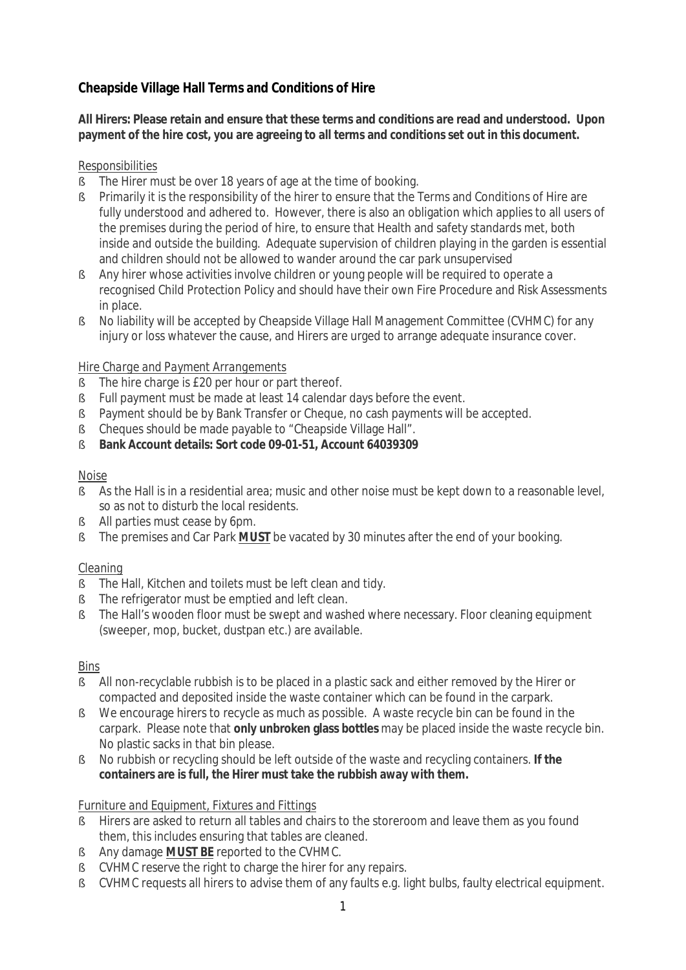# **Cheapside Village Hall Terms and Conditions of Hire**

**All Hirers: Please retain and ensure that these terms and conditions are read and understood. Upon payment of the hire cost, you are agreeing to all terms and conditions set out in this document.**

### *Responsibilities*

- § The Hirer must be over 18 years of age at the time of booking.
- § Primarily it is the responsibility of the hirer to ensure that the Terms and Conditions of Hire are fully understood and adhered to. However, there is also an obligation which applies to all users of the premises during the period of hire, to ensure that Health and safety standards met, both inside and outside the building. Adequate supervision of children playing in the garden is essential and children should not be allowed to wander around the car park unsupervised
- § Any hirer whose activities involve children or young people will be required to operate a recognised Child Protection Policy and should have their own Fire Procedure and Risk Assessments in place.
- § No liability will be accepted by Cheapside Village Hall Management Committee (CVHMC) for any injury or loss whatever the cause, and Hirers are urged to arrange adequate insurance cover.

### *Hire Charge and Payment Arrangements*

- § The hire charge is £20 per hour or part thereof.
- § Full payment must be made at least 14 calendar days before the event.
- § Payment should be by Bank Transfer or Cheque, no cash payments will be accepted.
- § Cheques should be made payable to "Cheapside Village Hall".
- § **Bank Account details: Sort code 09-01-51, Account 64039309**

### *Noise*

- § As the Hall is in a residential area; music and other noise must be kept down to a reasonable level, so as not to disturb the local residents.
- § All parties must cease by 6pm.
- § The premises and Car Park **MUST** be vacated by 30 minutes after the end of your booking.

### *Cleaning*

- § The Hall, Kitchen and toilets must be left clean and tidy.
- § The refrigerator must be emptied and left clean.
- § The Hall's wooden floor must be swept and washed where necessary. Floor cleaning equipment (sweeper, mop, bucket, dustpan etc.) are available.

### *Bins*

- § All non-recyclable rubbish is to be placed in a plastic sack and either removed by the Hirer or compacted and deposited inside the waste container which can be found in the carpark.
- § We encourage hirers to recycle as much as possible. A waste recycle bin can be found in the carpark. Please note that **only unbroken glass bottles** may be placed inside the waste recycle bin. No plastic sacks in that bin please.
- § No rubbish or recycling should be left outside of the waste and recycling containers. **If the containers are is full, the Hirer must take the rubbish away with them.**

### *Furniture and Equipment, Fixtures and Fittings*

- § Hirers are asked to return all tables and chairs to the storeroom and leave them as you found them, this includes ensuring that tables are cleaned.
- § Any damage **MUST BE** reported to the CVHMC.
- § CVHMC reserve the right to charge the hirer for any repairs.
- § CVHMC requests all hirers to advise them of any faults e.g. light bulbs, faulty electrical equipment.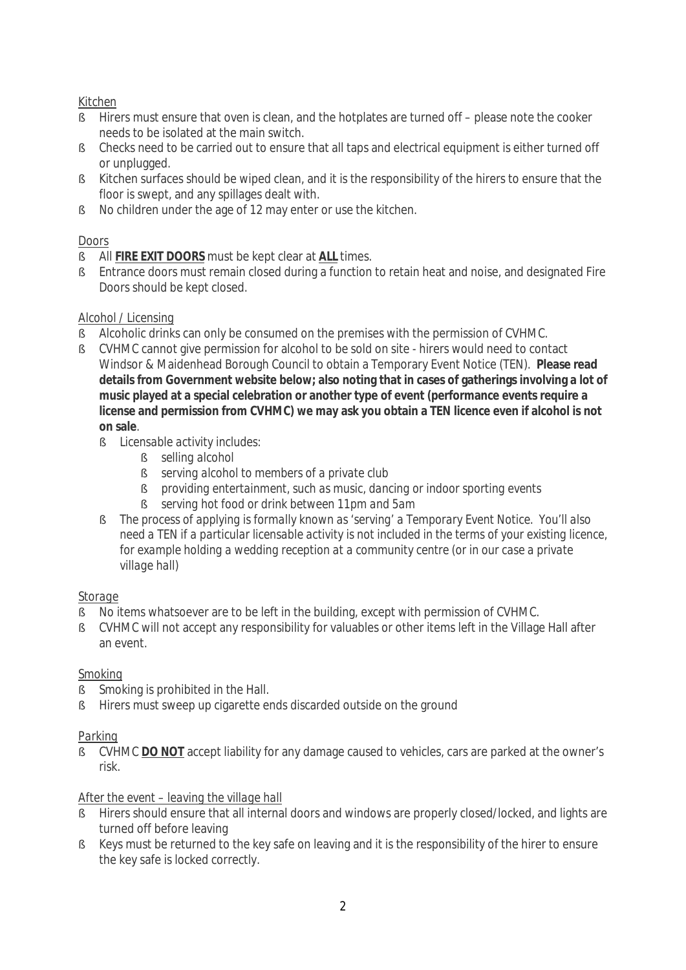# *Kitchen*

- § Hirers must ensure that oven is clean, and the hotplates are turned off please note the cooker needs to be isolated at the main switch.
- § Checks need to be carried out to ensure that all taps and electrical equipment is either turned off or unplugged.
- § Kitchen surfaces should be wiped clean, and it is the responsibility of the hirers to ensure that the floor is swept, and any spillages dealt with.
- § No children under the age of 12 may enter or use the kitchen.

## *Doors*

- § All **FIRE EXIT DOORS** must be kept clear at **ALL** times.
- § Entrance doors must remain closed during a function to retain heat and noise, and designated Fire Doors should be kept closed.

### *Alcohol / Licensing*

- § Alcoholic drinks can only be consumed on the premises with the permission of CVHMC.
- § CVHMC cannot give permission for alcohol to be sold on site hirers would need to contact Windsor & Maidenhead Borough Council to obtain a Temporary Event Notice (TEN). **Please read details from Government website below; also noting that in cases of gatherings involving a lot of music played at a special celebration or another type of event (performance events require a license and permission from CVHMC) we may ask you obtain a TEN licence even if alcohol is not on sale**.
	- § *Licensable activity includes:*
		- § *selling alcohol*
		- § *serving alcohol to members of a private club*
		- § *providing entertainment, such as music, dancing or indoor sporting events*
		- § *serving hot food or drink between 11pm and 5am*
	- § *The process of applying is formally known as 'serving' a Temporary Event Notice. You'll also need a TEN if a particular licensable activity is not included in the terms of your existing licence, for example holding a wedding reception at a community centre (or in our case a private village hall)*

### *Storage*

- § No items whatsoever are to be left in the building, except with permission of CVHMC.
- § CVHMC will not accept any responsibility for valuables or other items left in the Village Hall after an event.

# *Smoking*

- § Smoking is prohibited in the Hall.
- § Hirers must sweep up cigarette ends discarded outside on the ground

# *Parking*

§ CVHMC **DO NOT** accept liability for any damage caused to vehicles, cars are parked at the owner's risk.

### *After the event – leaving the village hall*

- § Hirers should ensure that all internal doors and windows are properly closed/locked, and lights are turned off before leaving
- § Keys must be returned to the key safe on leaving and it is the responsibility of the hirer to ensure the key safe is locked correctly.